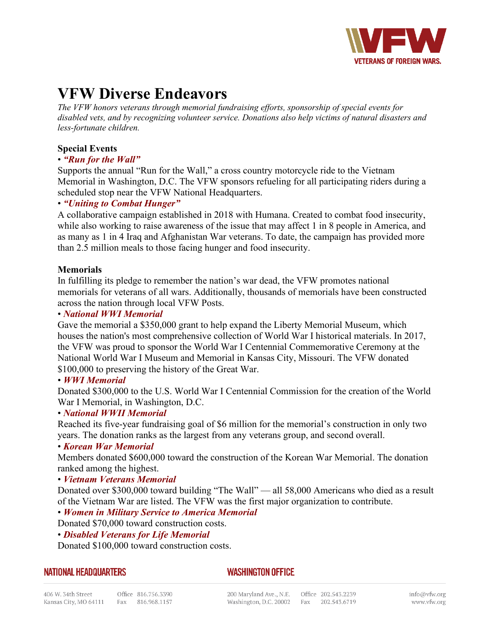

# **VFW Diverse Endeavors**

*The VFW honors veterans through memorial fundraising efforts, sponsorship of special events for disabled vets, and by recognizing volunteer service. Donations also help victims of natural disasters and less-fortunate children.*

### **Special Events**

#### • *"Run for the Wall"*

Supports the annual "Run for the Wall," a cross country motorcycle ride to the Vietnam Memorial in Washington, D.C. The VFW sponsors refueling for all participating riders during a scheduled stop near the VFW National Headquarters.

## • *"Uniting to Combat Hunger"*

A collaborative campaign established in 2018 with Humana. Created to combat food insecurity, while also working to raise awareness of the issue that may affect 1 in 8 people in America, and as many as 1 in 4 Iraq and Afghanistan War veterans. To date, the campaign has provided more than 2.5 million meals to those facing hunger and food insecurity.

## **Memorials**

In fulfilling its pledge to remember the nation's war dead, the VFW promotes national memorials for veterans of all wars. Additionally, thousands of memorials have been constructed across the nation through local VFW Posts.

#### • *National WWI Memorial*

Gave the memorial a \$350,000 grant to help expand the Liberty Memorial Museum, which houses the nation's most comprehensive collection of World War I historical materials. In 2017, the VFW was proud to sponsor the World War I Centennial Commemorative Ceremony at the National World War I Museum and Memorial in Kansas City, Missouri. The VFW donated \$100,000 to preserving the history of the Great War.

#### • *WWI Memorial*

Donated \$300,000 to the U.S. World War I Centennial Commission for the creation of the World War I Memorial, in Washington, D.C.

#### • *National WWII Memorial*

Reached its five-year fundraising goal of \$6 million for the memorial's construction in only two years. The donation ranks as the largest from any veterans group, and second overall.

#### • *Korean War Memorial*

Members donated \$600,000 toward the construction of the Korean War Memorial. The donation ranked among the highest.

#### • *Vietnam Veterans Memorial*

Donated over \$300,000 toward building "The Wall" — all 58,000 Americans who died as a result of the Vietnam War are listed. The VFW was the first major organization to contribute.

# • *Women in Military Service to America Memorial*

Donated \$70,000 toward construction costs.

#### • *Disabled Veterans for Life Memorial*

Donated \$100,000 toward construction costs.

#### **NATIONAL HEADQUARTERS**

# **WASHINGTON OFFICE**